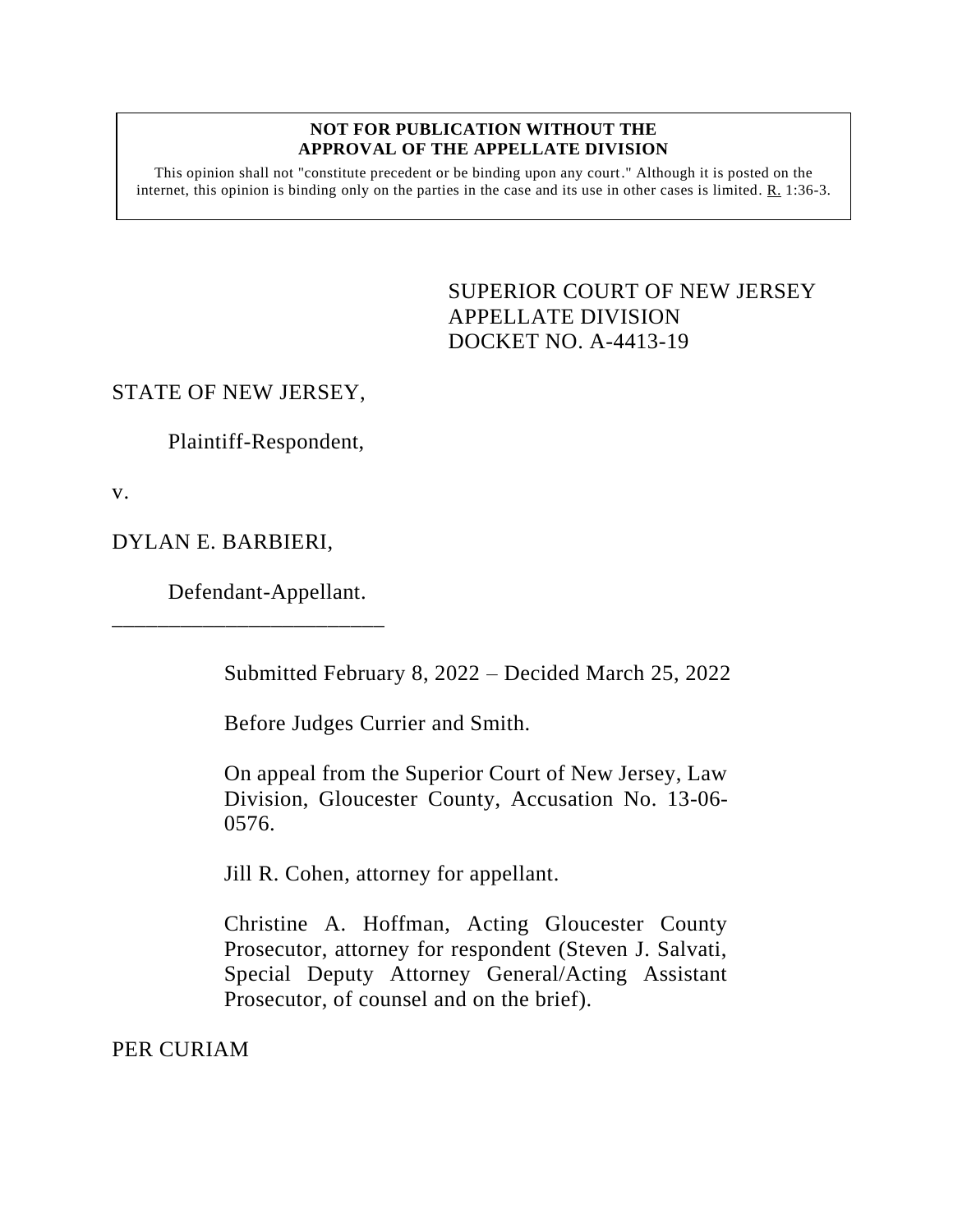## **NOT FOR PUBLICATION WITHOUT THE APPROVAL OF THE APPELLATE DIVISION**

This opinion shall not "constitute precedent or be binding upon any court." Although it is posted on the internet, this opinion is binding only on the parties in the case and its use in other cases is limited. R. 1:36-3.

> <span id="page-0-0"></span>SUPERIOR COURT OF NEW JERSEY APPELLATE DIVISION DOCKET NO. A-4413-19

## STATE OF NEW JERSEY,

Plaintiff-Respondent,

v.

## DYLAN E. BARBIERI,

Defendant-Appellant.

\_\_\_\_\_\_\_\_\_\_\_\_\_\_\_\_\_\_\_\_\_\_\_\_

Submitted February 8, 2022 – Decided March 25, 2022

Before Judges Currier and Smith.

On appeal from the Superior Court of New Jersey, Law Division, Gloucester County, Accusation No. 13-06- 0576.

Jill R. Cohen, attorney for appellant.

Christine A. Hoffman, Acting Gloucester County Prosecutor, attorney for respondent (Steven J. Salvati, Special Deputy Attorney General/Acting Assistant Prosecutor, of counsel and on the brief).

PER CURIAM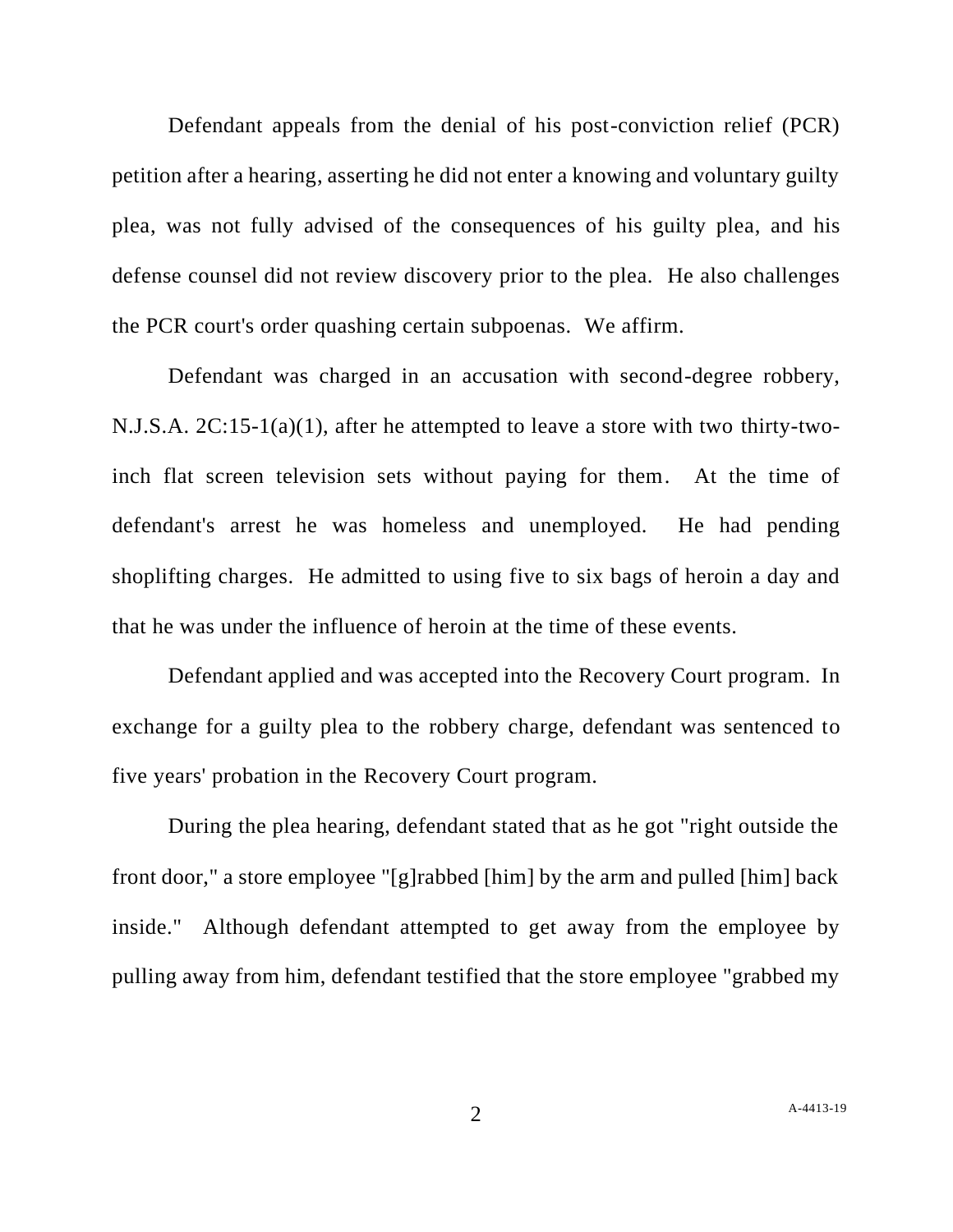Defendant appeals from the denial of his post-conviction relief (PCR) petition after a hearing, asserting he did not enter a knowing and voluntary guilty plea, was not fully advised of the consequences of his guilty plea, and his defense counsel did not review discovery prior to the plea. He also challenges the PCR court's order quashing certain subpoenas. We affirm.

Defendant was charged in an accusation with second-degree robbery, N.J.S.A. 2C:15-1(a)(1), after he attempted to leave a store with two thirty-twoinch flat screen television sets without paying for them. At the time of defendant's arrest he was homeless and unemployed. He had pending shoplifting charges. He admitted to using five to six bags of heroin a day and that he was under the influence of heroin at the time of these events.

Defendant applied and was accepted into the Recovery Court program. In exchange for a guilty plea to the robbery charge, defendant was sentenced to five years' probation in the Recovery Court program.

During the plea hearing, defendant stated that as he got "right outside the front door," a store employee "[g]rabbed [him] by the arm and pulled [him] back inside." Although defendant attempted to get away from the employee by pulling away from him, defendant testified that the store employee "grabbed my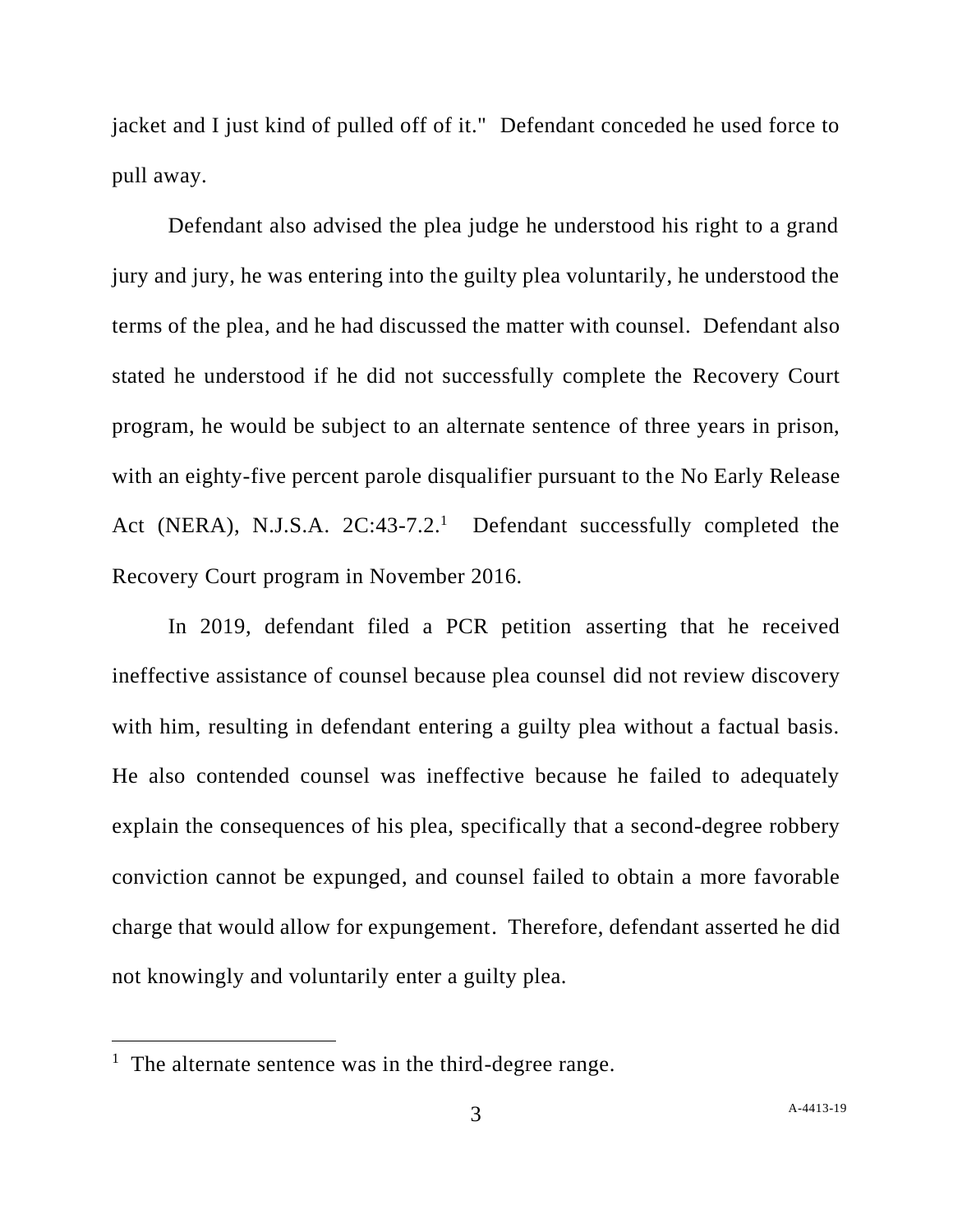jacket and I just kind of pulled off of it." Defendant conceded he used force to pull away.

Defendant also advised the plea judge he understood his right to a grand jury and jury, he was entering into the guilty plea voluntarily, he understood the terms of the plea, and he had discussed the matter with counsel. Defendant also stated he understood if he did not successfully complete the Recovery Court program, he would be subject to an alternate sentence of three years in prison, with an eighty-five percent parole disqualifier pursuant to the No Early Release Act (NERA), N.J.S.A. 2C:43-7.2.<sup>1</sup> Defendant successfully completed the Recovery Court program in November 2016.

In 2019, defendant filed a PCR petition asserting that he received ineffective assistance of counsel because plea counsel did not review discovery with him, resulting in defendant entering a guilty plea without a factual basis. He also contended counsel was ineffective because he failed to adequately explain the consequences of his plea, specifically that a second-degree robbery conviction cannot be expunged, and counsel failed to obtain a more favorable charge that would allow for expungement. Therefore, defendant asserted he did not knowingly and voluntarily enter a guilty plea.

<sup>&</sup>lt;sup>1</sup> The alternate sentence was in the third-degree range.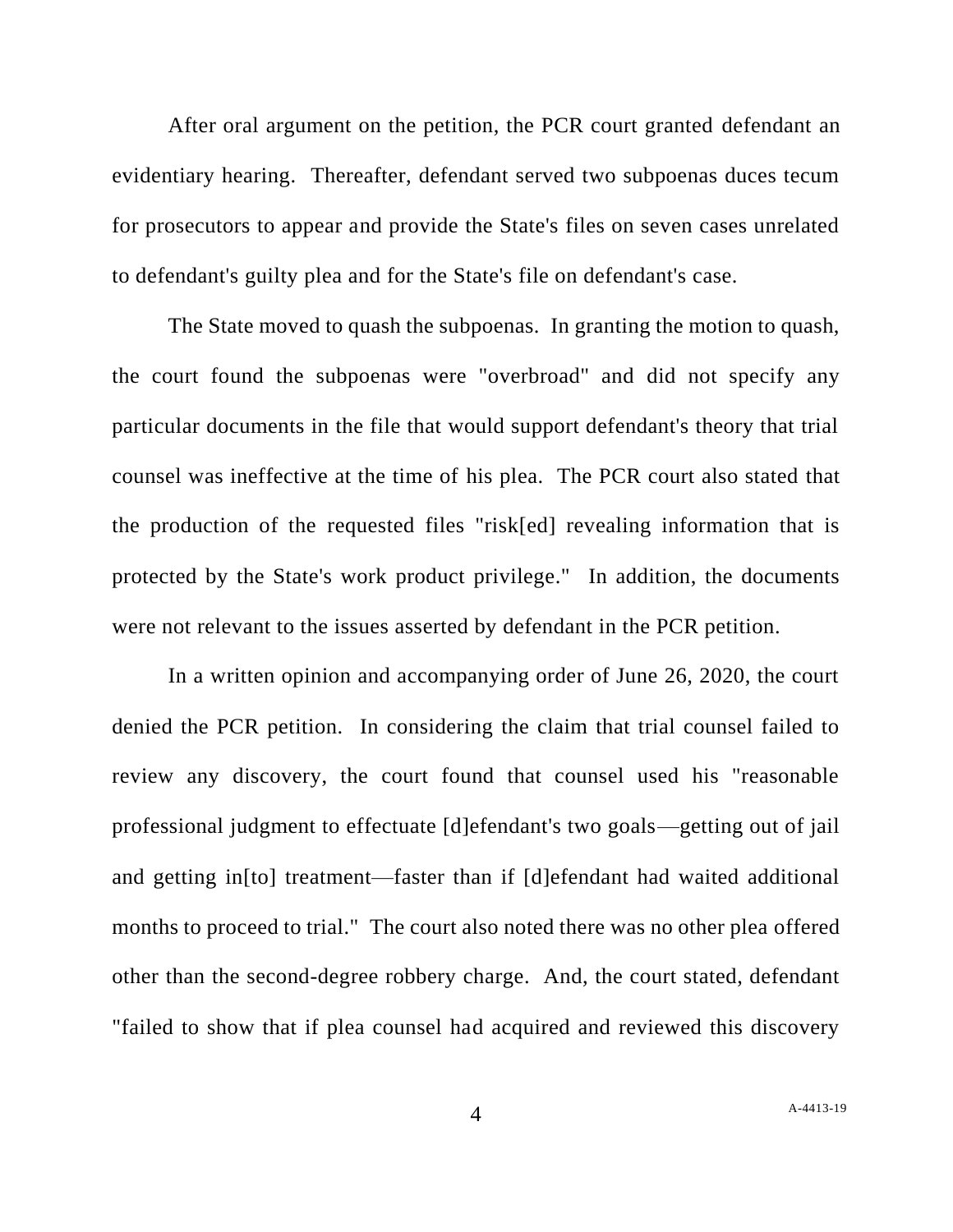After oral argument on the petition, the PCR court granted defendant an evidentiary hearing. Thereafter, defendant served two subpoenas duces tecum for prosecutors to appear and provide the State's files on seven cases unrelated to defendant's guilty plea and for the State's file on defendant's case.

The State moved to quash the subpoenas. In granting the motion to quash, the court found the subpoenas were "overbroad" and did not specify any particular documents in the file that would support defendant's theory that trial counsel was ineffective at the time of his plea. The PCR court also stated that the production of the requested files "risk[ed] revealing information that is protected by the State's work product privilege." In addition, the documents were not relevant to the issues asserted by defendant in the PCR petition.

In a written opinion and accompanying order of June 26, 2020, the court denied the PCR petition. In considering the claim that trial counsel failed to review any discovery, the court found that counsel used his "reasonable professional judgment to effectuate [d]efendant's two goals—getting out of jail and getting in[to] treatment—faster than if [d]efendant had waited additional months to proceed to trial." The court also noted there was no other plea offered other than the second-degree robbery charge. And, the court stated, defendant "failed to show that if plea counsel had acquired and reviewed this discovery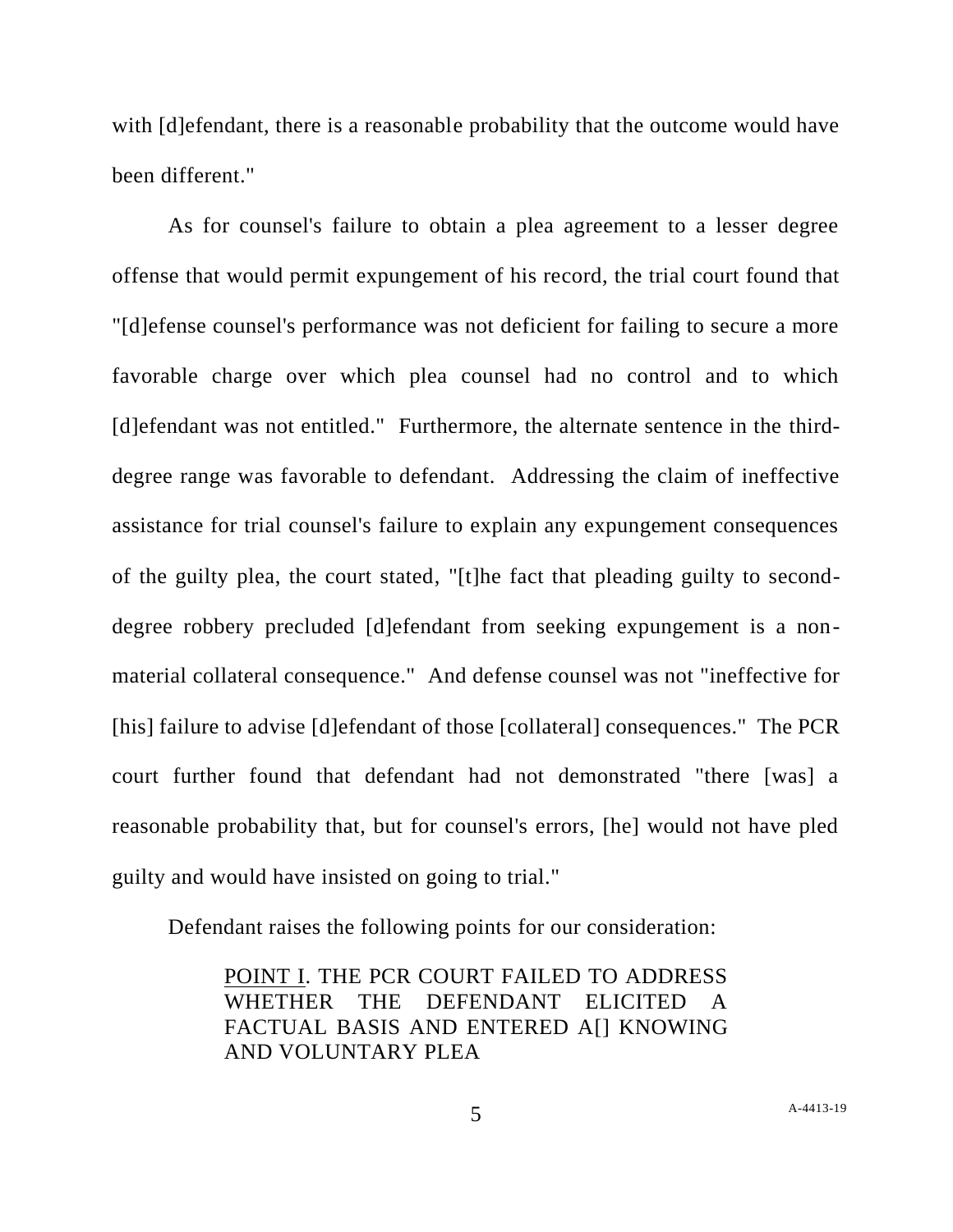with [d]efendant, there is a reasonable probability that the outcome would have been different."

As for counsel's failure to obtain a plea agreement to a lesser degree offense that would permit expungement of his record, the trial court found that "[d]efense counsel's performance was not deficient for failing to secure a more favorable charge over which plea counsel had no control and to which [d]efendant was not entitled." Furthermore, the alternate sentence in the thirddegree range was favorable to defendant. Addressing the claim of ineffective assistance for trial counsel's failure to explain any expungement consequences of the guilty plea, the court stated, "[t]he fact that pleading guilty to seconddegree robbery precluded [d]efendant from seeking expungement is a nonmaterial collateral consequence." And defense counsel was not "ineffective for [his] failure to advise [d]efendant of those [collateral] consequences." The PCR court further found that defendant had not demonstrated "there [was] a reasonable probability that, but for counsel's errors, [he] would not have pled guilty and would have insisted on going to trial."

Defendant raises the following points for our consideration:

POINT I. THE PCR COURT FAILED TO ADDRESS WHETHER THE DEFENDANT ELICITED A FACTUAL BASIS AND ENTERED A[] KNOWING AND VOLUNTARY PLEA

5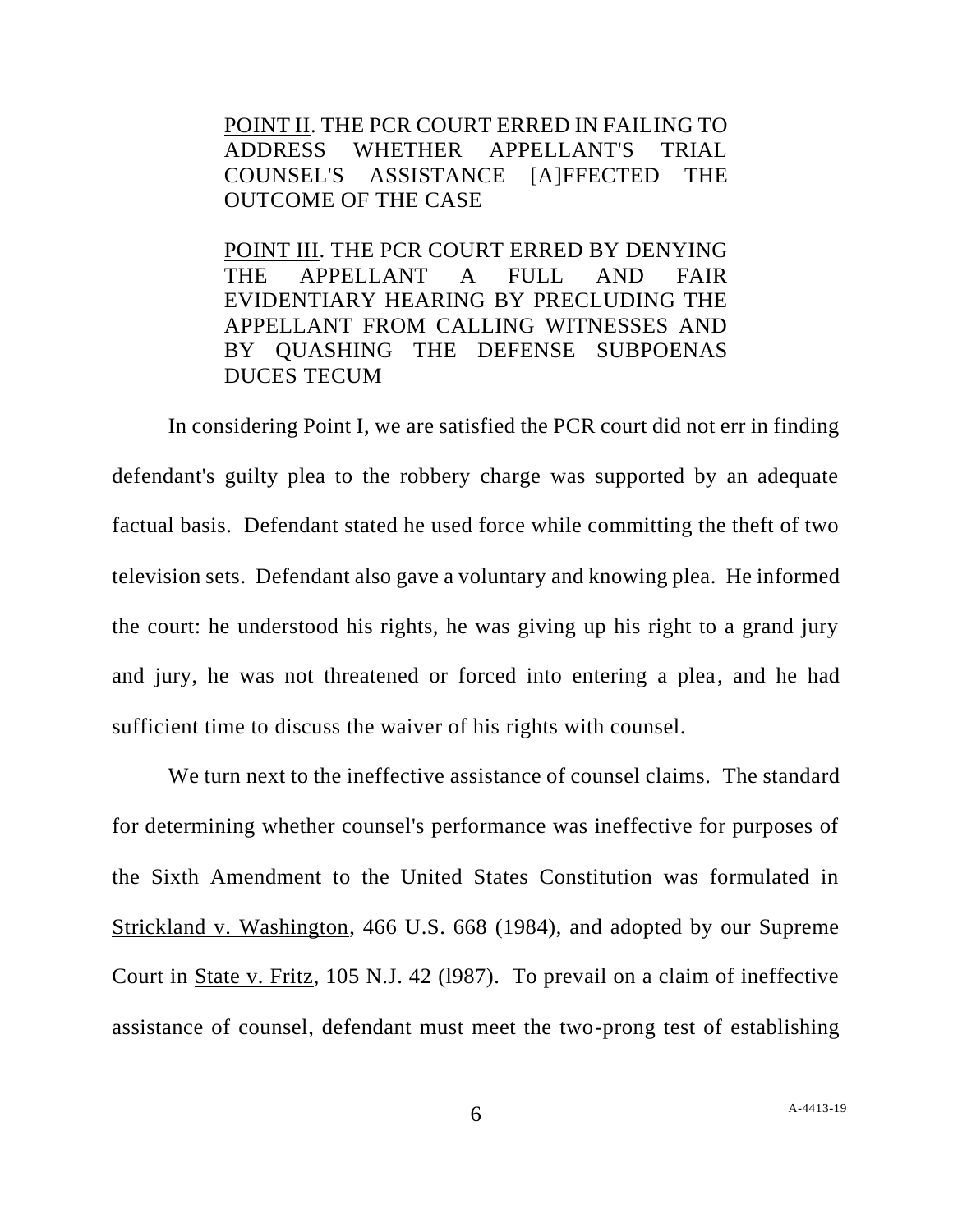POINT II. THE PCR COURT ERRED IN FAILING TO ADDRESS WHETHER APPELLANT'S TRIAL COUNSEL'S ASSISTANCE [A]FFECTED THE OUTCOME OF THE CASE

POINT III. THE PCR COURT ERRED BY DENYING THE APPELLANT A FULL AND FAIR EVIDENTIARY HEARING BY PRECLUDING THE APPELLANT FROM CALLING WITNESSES AND BY QUASHING THE DEFENSE SUBPOENAS DUCES TECUM

In considering Point I, we are satisfied the PCR court did not err in finding defendant's guilty plea to the robbery charge was supported by an adequate factual basis. Defendant stated he used force while committing the theft of two television sets. Defendant also gave a voluntary and knowing plea. He informed the court: he understood his rights, he was giving up his right to a grand jury and jury, he was not threatened or forced into entering a plea, and he had sufficient time to discuss the waiver of his rights with counsel.

We turn next to the ineffective assistance of counsel claims. The standard for determining whether counsel's performance was ineffective for purposes of the Sixth Amendment to the United States Constitution was formulated in Strickland v. Washington, 466 U.S. 668 (1984), and adopted by our Supreme Court in State v. Fritz, 105 N.J. 42 (l987). To prevail on a claim of ineffective assistance of counsel, defendant must meet the two-prong test of establishing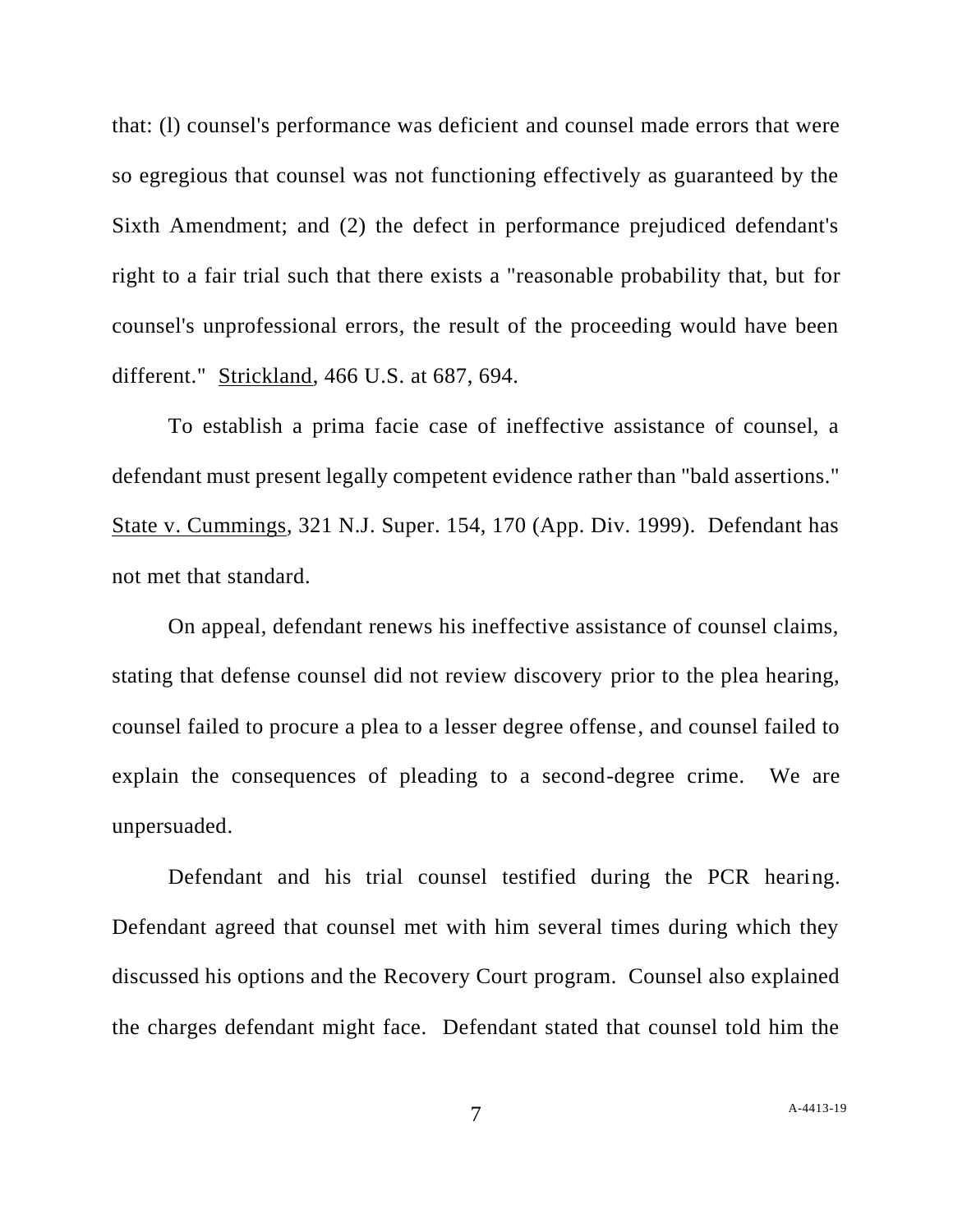that: (l) counsel's performance was deficient and counsel made errors that were so egregious that counsel was not functioning effectively as guaranteed by the Sixth Amendment; and (2) the defect in performance prejudiced defendant's right to a fair trial such that there exists a "reasonable probability that, but for counsel's unprofessional errors, the result of the proceeding would have been different." Strickland, 466 U.S. at 687, 694.

To establish a prima facie case of ineffective assistance of counsel, a defendant must present legally competent evidence rather than "bald assertions." State v. Cummings, 321 N.J. Super. 154, 170 (App. Div. 1999). Defendant has not met that standard.

On appeal, defendant renews his ineffective assistance of counsel claims, stating that defense counsel did not review discovery prior to the plea hearing, counsel failed to procure a plea to a lesser degree offense, and counsel failed to explain the consequences of pleading to a second-degree crime. We are unpersuaded.

Defendant and his trial counsel testified during the PCR hearing. Defendant agreed that counsel met with him several times during which they discussed his options and the Recovery Court program. Counsel also explained the charges defendant might face. Defendant stated that counsel told him the

7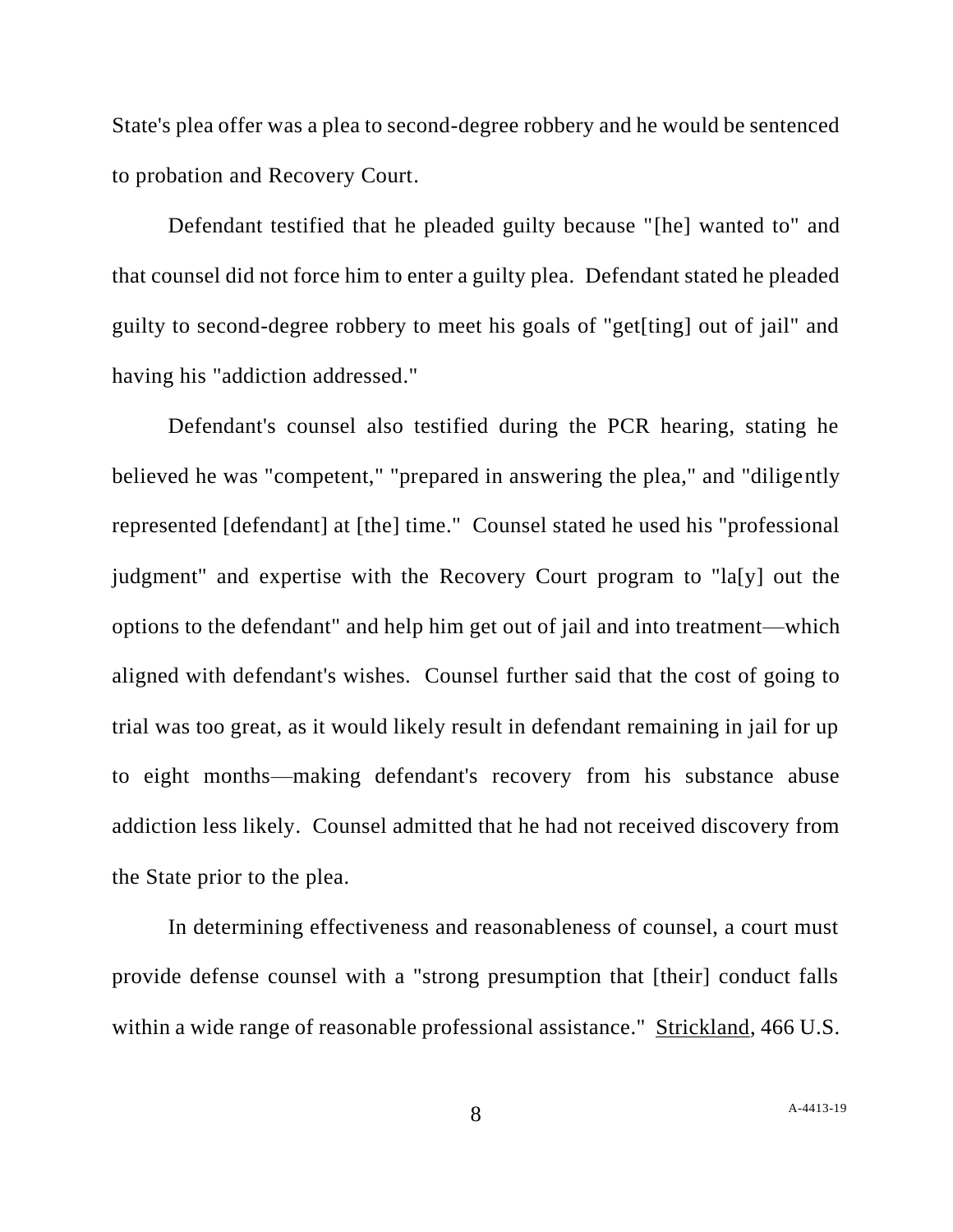State's plea offer was a plea to second-degree robbery and he would be sentenced to probation and Recovery Court.

Defendant testified that he pleaded guilty because "[he] wanted to" and that counsel did not force him to enter a guilty plea. Defendant stated he pleaded guilty to second-degree robbery to meet his goals of "get[ting] out of jail" and having his "addiction addressed."

Defendant's counsel also testified during the PCR hearing, stating he believed he was "competent," "prepared in answering the plea," and "diligently represented [defendant] at [the] time." Counsel stated he used his "professional judgment" and expertise with the Recovery Court program to "la[y] out the options to the defendant" and help him get out of jail and into treatment—which aligned with defendant's wishes. Counsel further said that the cost of going to trial was too great, as it would likely result in defendant remaining in jail for up to eight months—making defendant's recovery from his substance abuse addiction less likely. Counsel admitted that he had not received discovery from the State prior to the plea.

In determining effectiveness and reasonableness of counsel, a court must provide defense counsel with a "strong presumption that [their] conduct falls within a wide range of reasonable professional assistance." Strickland, 466 U.S.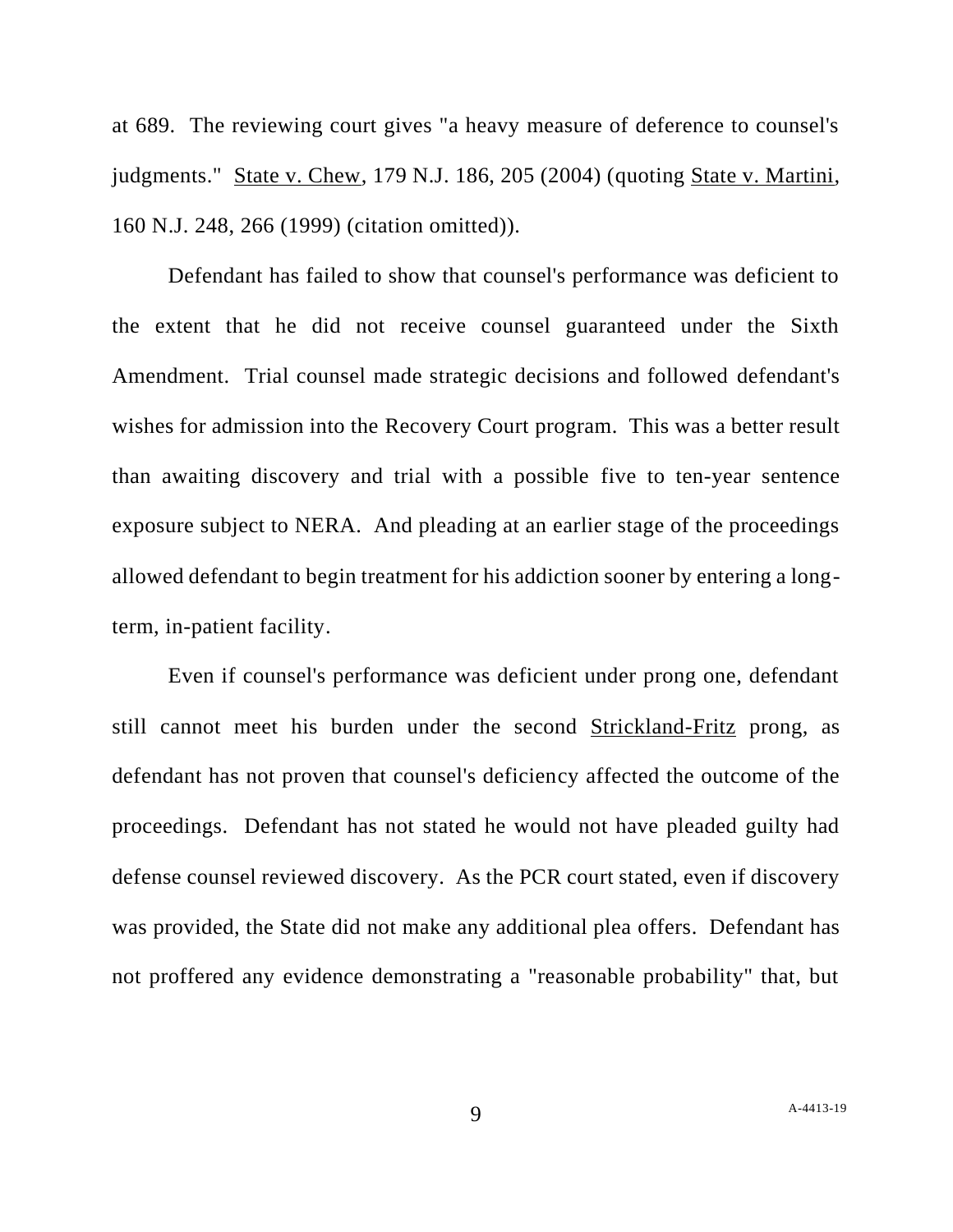at 689. The reviewing court gives "a heavy measure of deference to counsel's judgments." State v. Chew, 179 N.J. 186, 205 (2004) (quoting State v. Martini, 160 N.J. 248, 266 (1999) (citation omitted)).

Defendant has failed to show that counsel's performance was deficient to the extent that he did not receive counsel guaranteed under the Sixth Amendment. Trial counsel made strategic decisions and followed defendant's wishes for admission into the Recovery Court program. This was a better result than awaiting discovery and trial with a possible five to ten-year sentence exposure subject to NERA. And pleading at an earlier stage of the proceedings allowed defendant to begin treatment for his addiction sooner by entering a longterm, in-patient facility.

Even if counsel's performance was deficient under prong one, defendant still cannot meet his burden under the second Strickland-Fritz prong, as defendant has not proven that counsel's deficiency affected the outcome of the proceedings. Defendant has not stated he would not have pleaded guilty had defense counsel reviewed discovery. As the PCR court stated, even if discovery was provided, the State did not make any additional plea offers. Defendant has not proffered any evidence demonstrating a "reasonable probability" that, but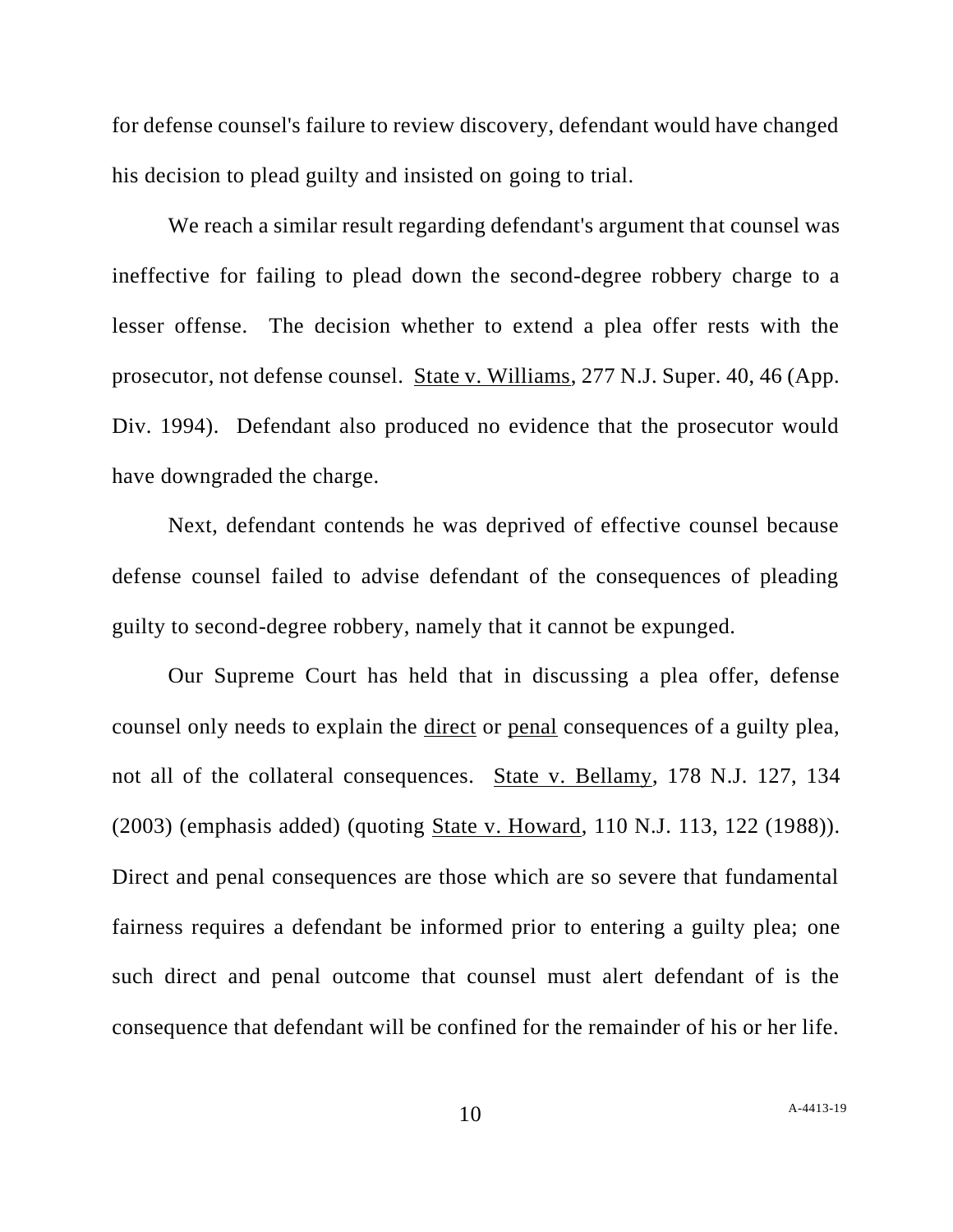for defense counsel's failure to review discovery, defendant would have changed his decision to plead guilty and insisted on going to trial.

We reach a similar result regarding defendant's argument that counsel was ineffective for failing to plead down the second-degree robbery charge to a lesser offense. The decision whether to extend a plea offer rests with the prosecutor, not defense counsel. State v. Williams, 277 N.J. Super. 40, 46 (App. Div. 1994). Defendant also produced no evidence that the prosecutor would have downgraded the charge.

Next, defendant contends he was deprived of effective counsel because defense counsel failed to advise defendant of the consequences of pleading guilty to second-degree robbery, namely that it cannot be expunged.

Our Supreme Court has held that in discussing a plea offer, defense counsel only needs to explain the direct or penal consequences of a guilty plea, not all of the collateral consequences. State v. Bellamy, 178 N.J. 127, 134 (2003) (emphasis added) (quoting State v. Howard, 110 N.J. 113, 122 (1988)). Direct and penal consequences are those which are so severe that fundamental fairness requires a defendant be informed prior to entering a guilty plea; one such direct and penal outcome that counsel must alert defendant of is the consequence that defendant will be confined for the remainder of his or her life.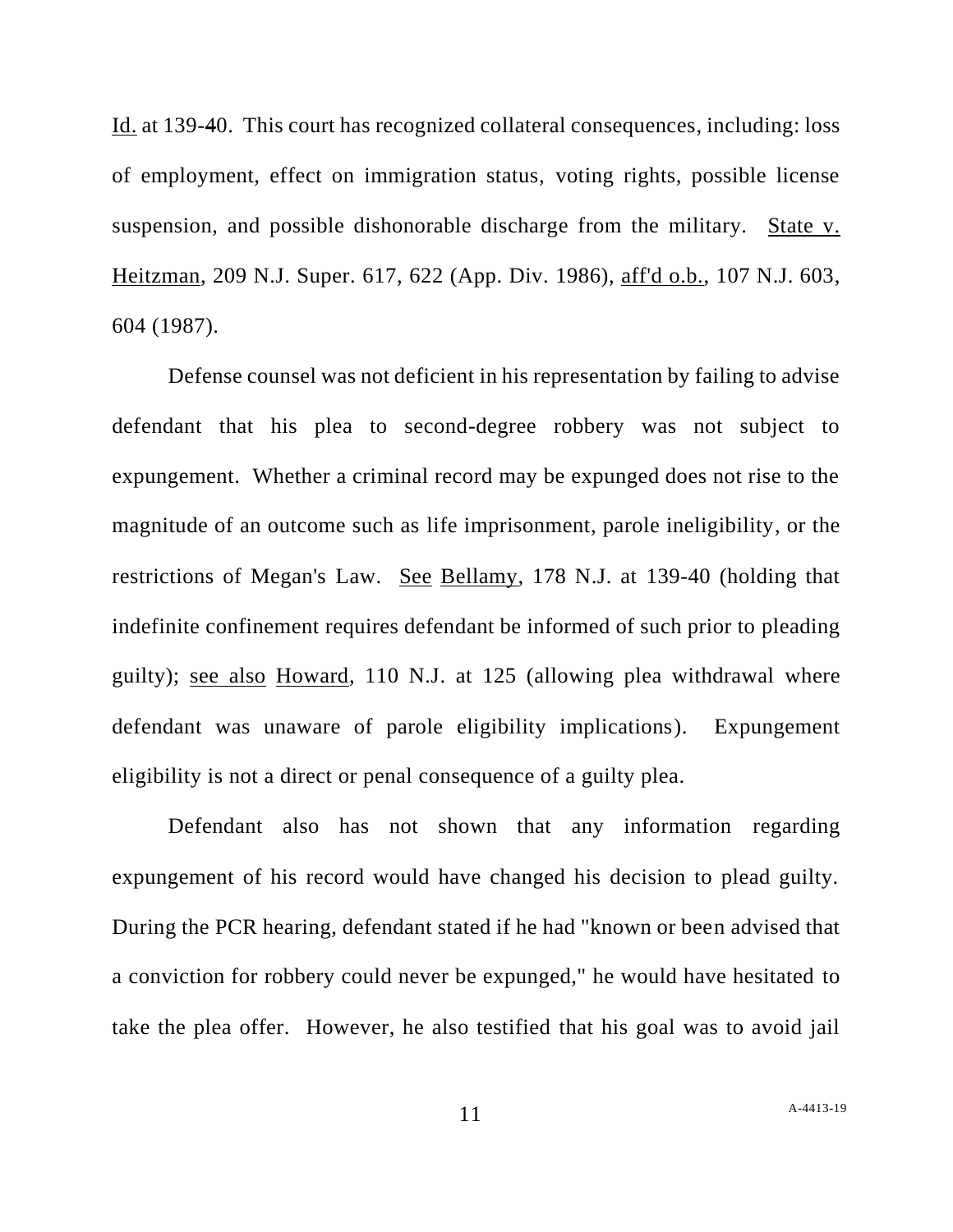Id. at 139-40. This court has recognized collateral consequences, including: loss of employment, effect on immigration status, voting rights, possible license suspension, and possible dishonorable discharge from the military. State v. Heitzman, 209 N.J. Super. 617, 622 (App. Div. 1986), aff'd o.b., 107 N.J. 603, 604 (1987).

Defense counsel was not deficient in his representation by failing to advise defendant that his plea to second-degree robbery was not subject to expungement. Whether a criminal record may be expunged does not rise to the magnitude of an outcome such as life imprisonment, parole ineligibility, or the restrictions of Megan's Law. See Bellamy, 178 N.J. at 139-40 (holding that indefinite confinement requires defendant be informed of such prior to pleading guilty); see also Howard, 110 N.J. at 125 (allowing plea withdrawal where defendant was unaware of parole eligibility implications). Expungement eligibility is not a direct or penal consequence of a guilty plea.

Defendant also has not shown that any information regarding expungement of his record would have changed his decision to plead guilty. During the PCR hearing, defendant stated if he had "known or been advised that a conviction for robbery could never be expunged," he would have hesitated to take the plea offer. However, he also testified that his goal was to avoid jail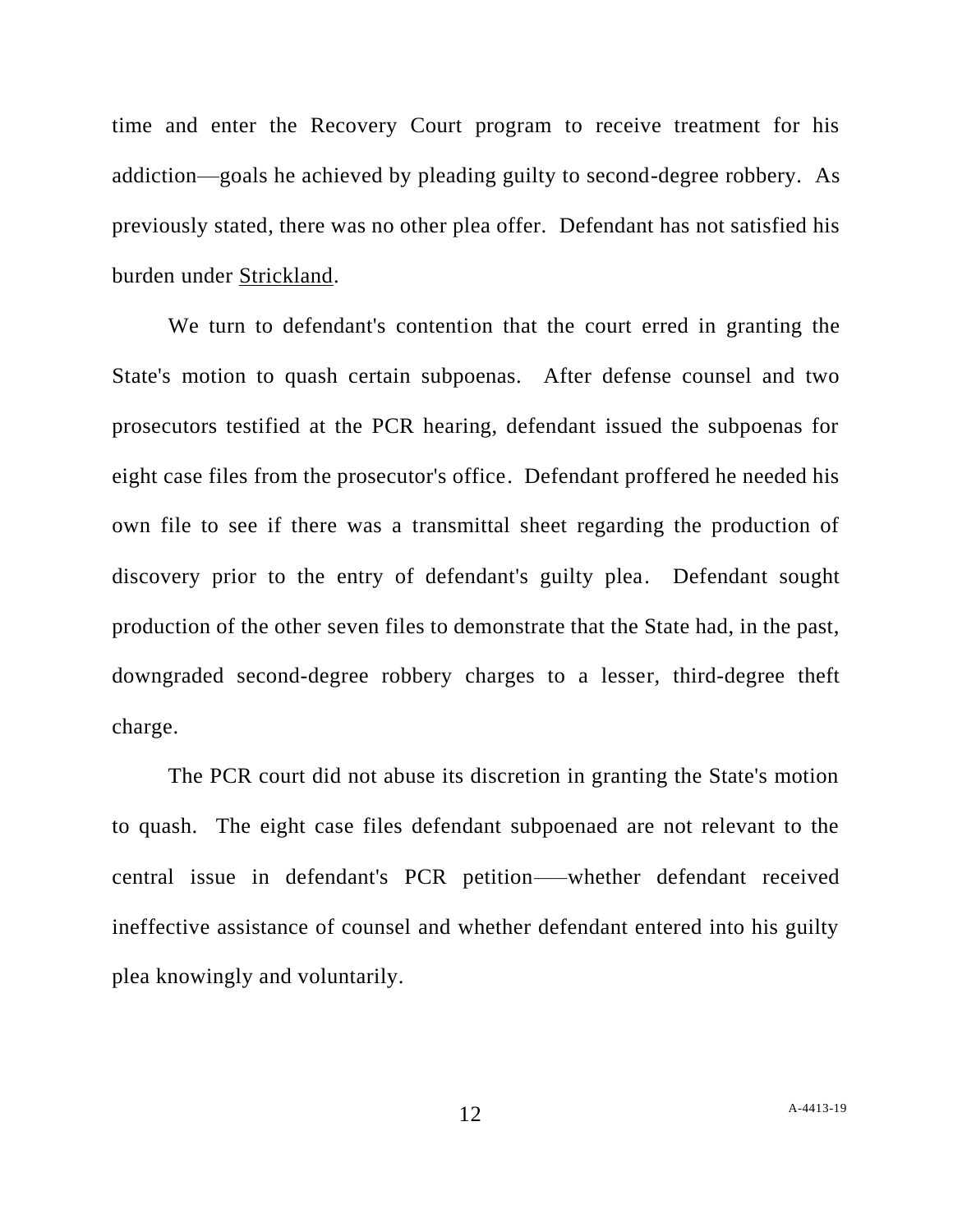time and enter the Recovery Court program to receive treatment for his addiction—goals he achieved by pleading guilty to second-degree robbery. As previously stated, there was no other plea offer. Defendant has not satisfied his burden under Strickland.

We turn to defendant's contention that the court erred in granting the State's motion to quash certain subpoenas. After defense counsel and two prosecutors testified at the PCR hearing, defendant issued the subpoenas for eight case files from the prosecutor's office. Defendant proffered he needed his own file to see if there was a transmittal sheet regarding the production of discovery prior to the entry of defendant's guilty plea. Defendant sought production of the other seven files to demonstrate that the State had, in the past, downgraded second-degree robbery charges to a lesser, third-degree theft charge.

The PCR court did not abuse its discretion in granting the State's motion to quash. The eight case files defendant subpoenaed are not relevant to the central issue in defendant's PCR petition—–whether defendant received ineffective assistance of counsel and whether defendant entered into his guilty plea knowingly and voluntarily.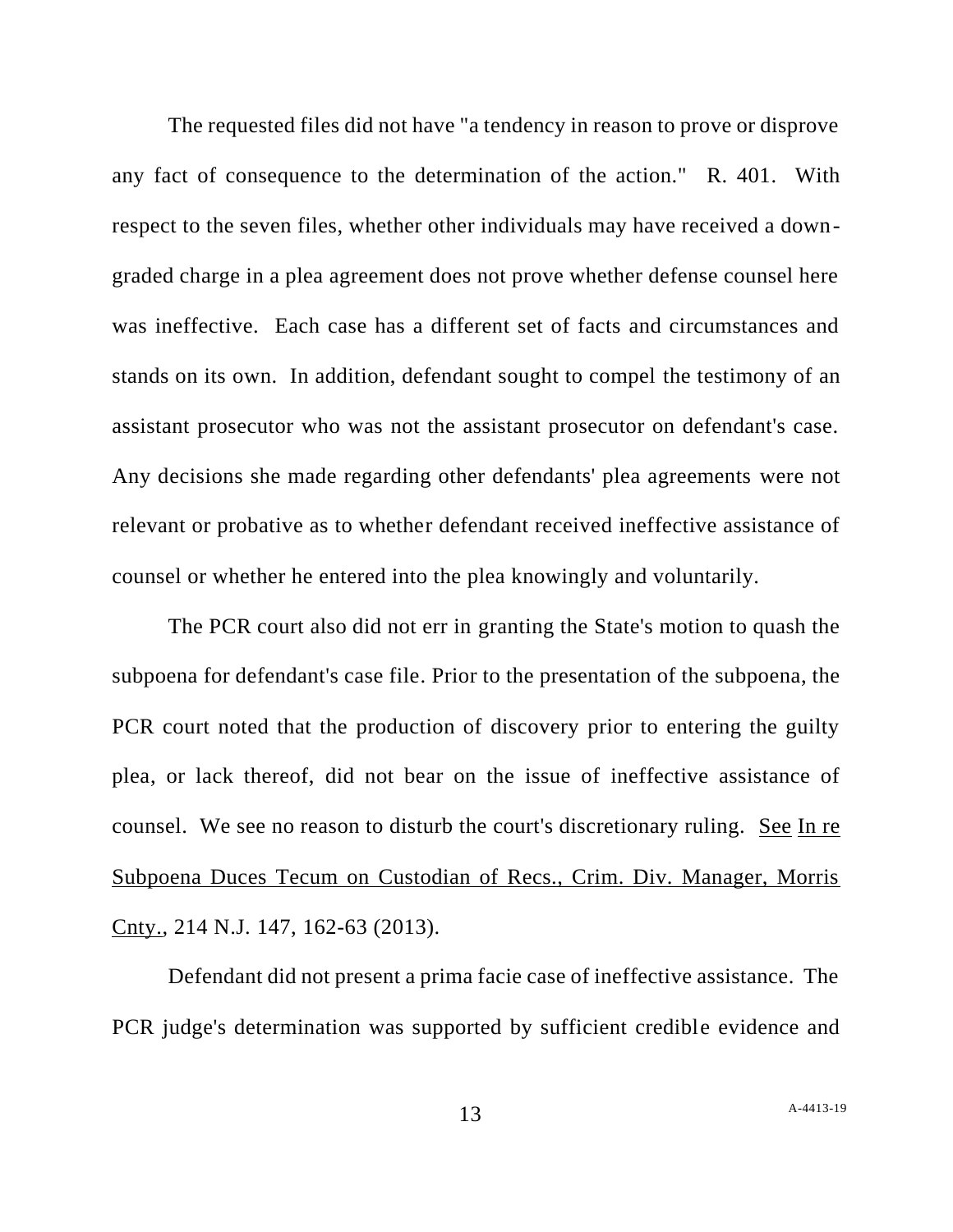The requested files did not have "a tendency in reason to prove or disprove any fact of consequence to the determination of the action." R. 401. With respect to the seven files, whether other individuals may have received a downgraded charge in a plea agreement does not prove whether defense counsel here was ineffective. Each case has a different set of facts and circumstances and stands on its own. In addition, defendant sought to compel the testimony of an assistant prosecutor who was not the assistant prosecutor on defendant's case. Any decisions she made regarding other defendants' plea agreements were not relevant or probative as to whether defendant received ineffective assistance of counsel or whether he entered into the plea knowingly and voluntarily.

The PCR court also did not err in granting the State's motion to quash the subpoena for defendant's case file. Prior to the presentation of the subpoena, the PCR court noted that the production of discovery prior to entering the guilty plea, or lack thereof, did not bear on the issue of ineffective assistance of counsel. We see no reason to disturb the court's discretionary ruling. See In re Subpoena Duces Tecum on Custodian of Recs., Crim. Div. Manager, Morris Cnty., 214 N.J. 147, 162-63 (2013).

Defendant did not present a prima facie case of ineffective assistance. The PCR judge's determination was supported by sufficient credible evidence and